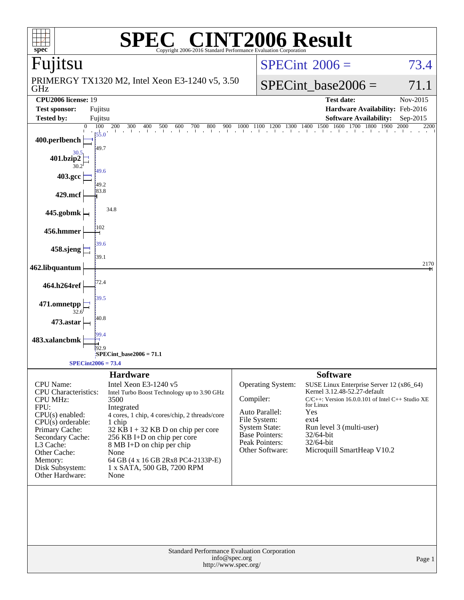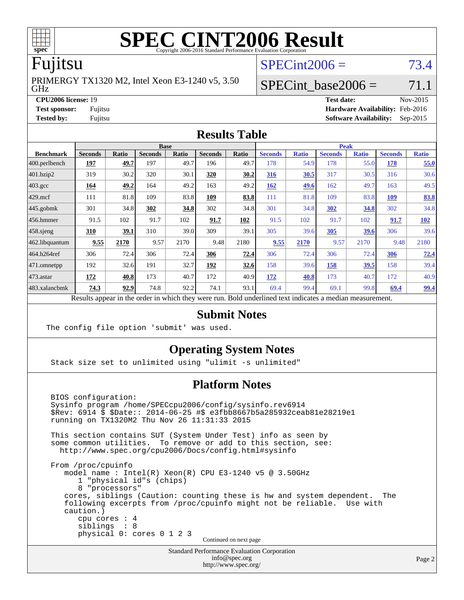

# Fujitsu

GHz PRIMERGY TX1320 M2, Intel Xeon E3-1240 v5, 3.50  $SPECint2006 = 73.4$  $SPECint2006 = 73.4$ 

# SPECint base2006 =  $71.1$

**[CPU2006 license:](http://www.spec.org/auto/cpu2006/Docs/result-fields.html#CPU2006license)** 19 **[Test date:](http://www.spec.org/auto/cpu2006/Docs/result-fields.html#Testdate)** Nov-2015 **[Test sponsor:](http://www.spec.org/auto/cpu2006/Docs/result-fields.html#Testsponsor)** Fujitsu **[Hardware Availability:](http://www.spec.org/auto/cpu2006/Docs/result-fields.html#HardwareAvailability)** Feb-2016 **[Tested by:](http://www.spec.org/auto/cpu2006/Docs/result-fields.html#Testedby)** Fujitsu **[Software Availability:](http://www.spec.org/auto/cpu2006/Docs/result-fields.html#SoftwareAvailability)** Sep-2015

#### **[Results Table](http://www.spec.org/auto/cpu2006/Docs/result-fields.html#ResultsTable)**

|                                                                                                          |                |              | <b>Base</b>    |              |                |       |                |              | <b>Peak</b>    |              |                |              |
|----------------------------------------------------------------------------------------------------------|----------------|--------------|----------------|--------------|----------------|-------|----------------|--------------|----------------|--------------|----------------|--------------|
| <b>Benchmark</b>                                                                                         | <b>Seconds</b> | <b>Ratio</b> | <b>Seconds</b> | <b>Ratio</b> | <b>Seconds</b> | Ratio | <b>Seconds</b> | <b>Ratio</b> | <b>Seconds</b> | <b>Ratio</b> | <b>Seconds</b> | <b>Ratio</b> |
| $ 400$ .perlbench                                                                                        | 197            | 49.7         | 197            | 49.7         | 196            | 49.7  | 178            | 54.9         | 178            | 55.0         | 178            | 55.0         |
| 401.bzip2                                                                                                | 319            | 30.2         | 320            | 30.1         | 320            | 30.2  | 316            | 30.5         | 317            | 30.5         | 316            | 30.6         |
| $403.\text{gcc}$                                                                                         | 164            | 49.2         | 164            | 49.2         | 163            | 49.2  | 162            | 49.6         | 162            | 49.7         | 163            | 49.5         |
| $429$ .mcf                                                                                               | 111            | 81.8         | 109            | 83.8         | 109            | 83.8  | 111            | 81.8         | 109            | 83.8         | <b>109</b>     | 83.8         |
| $445$ .gobmk                                                                                             | 301            | 34.8         | 302            | 34.8         | 302            | 34.8  | 301            | 34.8         | 302            | 34.8         | 302            | 34.8         |
| $456.$ hmmer                                                                                             | 91.5           | 102          | 91.7           | 102          | 91.7           | 102   | 91.5           | 102          | 91.7           | 102          | 91.7           | 102          |
| $458$ .sjeng                                                                                             | 310            | 39.1         | 310            | 39.0         | 309            | 39.1  | 305            | 39.6         | 305            | 39.6         | 306            | 39.6         |
| 462.libquantum                                                                                           | 9.55           | 2170         | 9.57           | 2170         | 9.48           | 2180  | 9.55           | 2170         | 9.57           | 2170         | 9.48           | 2180         |
| 464.h264ref                                                                                              | 306            | 72.4         | 306            | 72.4         | 306            | 72.4  | 306            | 72.4         | 306            | 72.4         | 306            | 72.4         |
| 471.omnetpp                                                                                              | 192            | 32.6         | 191            | 32.7         | 192            | 32.6  | 158            | 39.6         | 158            | <u>39.5</u>  | 158            | 39.4         |
| $473$ . astar                                                                                            | 172            | 40.8         | 173            | 40.7         | 172            | 40.9  | 172            | 40.8         | 173            | 40.7         | 172            | 40.9         |
| 483.xalancbmk                                                                                            | 74.3           | 92.9         | 74.8           | 92.2         | 74.1           | 93.1  | 69.4           | 99.4         | 69.1           | 99.8         | 69.4           | <u>99.4</u>  |
| Results appear in the order in which they were run. Bold underlined text indicates a median measurement. |                |              |                |              |                |       |                |              |                |              |                |              |

#### **[Submit Notes](http://www.spec.org/auto/cpu2006/Docs/result-fields.html#SubmitNotes)**

The config file option 'submit' was used.

### **[Operating System Notes](http://www.spec.org/auto/cpu2006/Docs/result-fields.html#OperatingSystemNotes)**

Stack size set to unlimited using "ulimit -s unlimited"

### **[Platform Notes](http://www.spec.org/auto/cpu2006/Docs/result-fields.html#PlatformNotes)**

 BIOS configuration: Sysinfo program /home/SPECcpu2006/config/sysinfo.rev6914 \$Rev: 6914 \$ \$Date:: 2014-06-25 #\$ e3fbb8667b5a285932ceab81e28219e1 running on TX1320M2 Thu Nov 26 11:31:33 2015 This section contains SUT (System Under Test) info as seen by some common utilities. To remove or add to this section, see: <http://www.spec.org/cpu2006/Docs/config.html#sysinfo> From /proc/cpuinfo model name : Intel(R) Xeon(R) CPU E3-1240 v5 @ 3.50GHz 1 "physical id"s (chips) 8 "processors" cores, siblings (Caution: counting these is hw and system dependent. The following excerpts from /proc/cpuinfo might not be reliable. Use with caution.) cpu cores : 4 siblings : 8 physical 0: cores 0 1 2 3 Continued on next page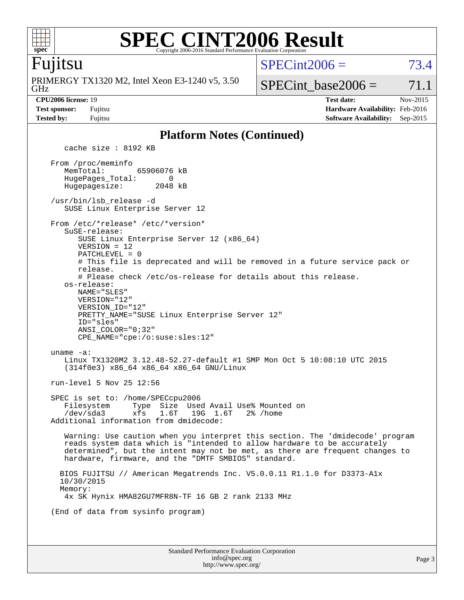

#### **[SPEC CINT2006 Result](http://www.spec.org/auto/cpu2006/Docs/result-fields.html#SPECCINT2006Result)** Copyright 2006-2016 Standard Performance Evaluation Corpor

### Fujitsu

GHz PRIMERGY TX1320 M2, Intel Xeon E3-1240 v5, 3.50  $SPECint2006 = 73.4$  $SPECint2006 = 73.4$ 

SPECint base2006 =  $71.1$ 

**[CPU2006 license:](http://www.spec.org/auto/cpu2006/Docs/result-fields.html#CPU2006license)** 19 **[Test date:](http://www.spec.org/auto/cpu2006/Docs/result-fields.html#Testdate)** Nov-2015 **[Test sponsor:](http://www.spec.org/auto/cpu2006/Docs/result-fields.html#Testsponsor)** Fujitsu **[Hardware Availability:](http://www.spec.org/auto/cpu2006/Docs/result-fields.html#HardwareAvailability)** Feb-2016 **[Tested by:](http://www.spec.org/auto/cpu2006/Docs/result-fields.html#Testedby)** Fujitsu **[Software Availability:](http://www.spec.org/auto/cpu2006/Docs/result-fields.html#SoftwareAvailability)** Sep-2015

#### **[Platform Notes \(Continued\)](http://www.spec.org/auto/cpu2006/Docs/result-fields.html#PlatformNotes)**

Standard Performance Evaluation Corporation [info@spec.org](mailto:info@spec.org) cache size : 8192 KB From /proc/meminfo MemTotal: 65906076 kB HugePages\_Total: 0<br>Hugepagesize: 2048 kB Hugepagesize: /usr/bin/lsb\_release -d SUSE Linux Enterprise Server 12 From /etc/\*release\* /etc/\*version\* SuSE-release: SUSE Linux Enterprise Server 12 (x86\_64) VERSION = 12 PATCHLEVEL = 0 # This file is deprecated and will be removed in a future service pack or release. # Please check /etc/os-release for details about this release. os-release: NAME="SLES" VERSION="12" VERSION\_ID="12" PRETTY\_NAME="SUSE Linux Enterprise Server 12" ID="sles" ANSI\_COLOR="0;32" CPE\_NAME="cpe:/o:suse:sles:12" uname -a: Linux TX1320M2 3.12.48-52.27-default #1 SMP Mon Oct 5 10:08:10 UTC 2015 (314f0e3) x86\_64 x86\_64 x86\_64 GNU/Linux run-level 5 Nov 25 12:56 SPEC is set to: /home/SPECcpu2006 Filesystem Type Size Used Avail Use% Mounted on /dev/sda3 xfs 1.6T 19G 1.6T 2% /home Additional information from dmidecode: Warning: Use caution when you interpret this section. The 'dmidecode' program reads system data which is "intended to allow hardware to be accurately determined", but the intent may not be met, as there are frequent changes to hardware, firmware, and the "DMTF SMBIOS" standard. BIOS FUJITSU // American Megatrends Inc. V5.0.0.11 R1.1.0 for D3373-A1x 10/30/2015 Memory: 4x SK Hynix HMA82GU7MFR8N-TF 16 GB 2 rank 2133 MHz (End of data from sysinfo program)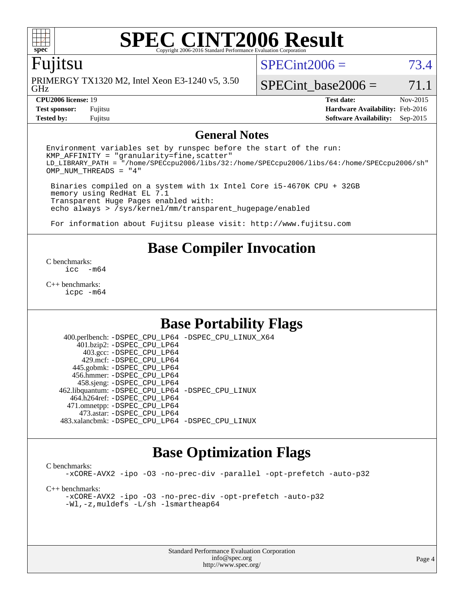

# Fujitsu

GHz PRIMERGY TX1320 M2, Intel Xeon E3-1240 v5, 3.50  $SPECint2006 = 73.4$  $SPECint2006 = 73.4$ 

SPECint base2006 =  $71.1$ 

**[Tested by:](http://www.spec.org/auto/cpu2006/Docs/result-fields.html#Testedby)** Fujitsu **[Software Availability:](http://www.spec.org/auto/cpu2006/Docs/result-fields.html#SoftwareAvailability)** Sep-2015

**[CPU2006 license:](http://www.spec.org/auto/cpu2006/Docs/result-fields.html#CPU2006license)** 19 **[Test date:](http://www.spec.org/auto/cpu2006/Docs/result-fields.html#Testdate)** Nov-2015 **[Test sponsor:](http://www.spec.org/auto/cpu2006/Docs/result-fields.html#Testsponsor)** Fujitsu **[Hardware Availability:](http://www.spec.org/auto/cpu2006/Docs/result-fields.html#HardwareAvailability)** Feb-2016

#### **[General Notes](http://www.spec.org/auto/cpu2006/Docs/result-fields.html#GeneralNotes)**

Environment variables set by runspec before the start of the run:  $KMP$  AFFINITY = "granularity=fine, scatter" LD\_LIBRARY\_PATH = "/home/SPECcpu2006/libs/32:/home/SPECcpu2006/libs/64:/home/SPECcpu2006/sh" OMP\_NUM\_THREADS = "4"

 Binaries compiled on a system with 1x Intel Core i5-4670K CPU + 32GB memory using RedHat EL 7.1 Transparent Huge Pages enabled with: echo always > /sys/kernel/mm/transparent\_hugepage/enabled

For information about Fujitsu please visit: <http://www.fujitsu.com>

# **[Base Compiler Invocation](http://www.spec.org/auto/cpu2006/Docs/result-fields.html#BaseCompilerInvocation)**

[C benchmarks](http://www.spec.org/auto/cpu2006/Docs/result-fields.html#Cbenchmarks):  $inc - m64$ 

[C++ benchmarks:](http://www.spec.org/auto/cpu2006/Docs/result-fields.html#CXXbenchmarks) [icpc -m64](http://www.spec.org/cpu2006/results/res2016q1/cpu2006-20160111-38691.flags.html#user_CXXbase_intel_icpc_64bit_fc66a5337ce925472a5c54ad6a0de310)

# **[Base Portability Flags](http://www.spec.org/auto/cpu2006/Docs/result-fields.html#BasePortabilityFlags)**

 400.perlbench: [-DSPEC\\_CPU\\_LP64](http://www.spec.org/cpu2006/results/res2016q1/cpu2006-20160111-38691.flags.html#b400.perlbench_basePORTABILITY_DSPEC_CPU_LP64) [-DSPEC\\_CPU\\_LINUX\\_X64](http://www.spec.org/cpu2006/results/res2016q1/cpu2006-20160111-38691.flags.html#b400.perlbench_baseCPORTABILITY_DSPEC_CPU_LINUX_X64) 401.bzip2: [-DSPEC\\_CPU\\_LP64](http://www.spec.org/cpu2006/results/res2016q1/cpu2006-20160111-38691.flags.html#suite_basePORTABILITY401_bzip2_DSPEC_CPU_LP64) 403.gcc: [-DSPEC\\_CPU\\_LP64](http://www.spec.org/cpu2006/results/res2016q1/cpu2006-20160111-38691.flags.html#suite_basePORTABILITY403_gcc_DSPEC_CPU_LP64) 429.mcf: [-DSPEC\\_CPU\\_LP64](http://www.spec.org/cpu2006/results/res2016q1/cpu2006-20160111-38691.flags.html#suite_basePORTABILITY429_mcf_DSPEC_CPU_LP64) 445.gobmk: [-DSPEC\\_CPU\\_LP64](http://www.spec.org/cpu2006/results/res2016q1/cpu2006-20160111-38691.flags.html#suite_basePORTABILITY445_gobmk_DSPEC_CPU_LP64) 456.hmmer: [-DSPEC\\_CPU\\_LP64](http://www.spec.org/cpu2006/results/res2016q1/cpu2006-20160111-38691.flags.html#suite_basePORTABILITY456_hmmer_DSPEC_CPU_LP64) 458.sjeng: [-DSPEC\\_CPU\\_LP64](http://www.spec.org/cpu2006/results/res2016q1/cpu2006-20160111-38691.flags.html#suite_basePORTABILITY458_sjeng_DSPEC_CPU_LP64) 462.libquantum: [-DSPEC\\_CPU\\_LP64](http://www.spec.org/cpu2006/results/res2016q1/cpu2006-20160111-38691.flags.html#suite_basePORTABILITY462_libquantum_DSPEC_CPU_LP64) [-DSPEC\\_CPU\\_LINUX](http://www.spec.org/cpu2006/results/res2016q1/cpu2006-20160111-38691.flags.html#b462.libquantum_baseCPORTABILITY_DSPEC_CPU_LINUX) 464.h264ref: [-DSPEC\\_CPU\\_LP64](http://www.spec.org/cpu2006/results/res2016q1/cpu2006-20160111-38691.flags.html#suite_basePORTABILITY464_h264ref_DSPEC_CPU_LP64) 471.omnetpp: [-DSPEC\\_CPU\\_LP64](http://www.spec.org/cpu2006/results/res2016q1/cpu2006-20160111-38691.flags.html#suite_basePORTABILITY471_omnetpp_DSPEC_CPU_LP64) 473.astar: [-DSPEC\\_CPU\\_LP64](http://www.spec.org/cpu2006/results/res2016q1/cpu2006-20160111-38691.flags.html#suite_basePORTABILITY473_astar_DSPEC_CPU_LP64) 483.xalancbmk: [-DSPEC\\_CPU\\_LP64](http://www.spec.org/cpu2006/results/res2016q1/cpu2006-20160111-38691.flags.html#suite_basePORTABILITY483_xalancbmk_DSPEC_CPU_LP64) [-DSPEC\\_CPU\\_LINUX](http://www.spec.org/cpu2006/results/res2016q1/cpu2006-20160111-38691.flags.html#b483.xalancbmk_baseCXXPORTABILITY_DSPEC_CPU_LINUX)

# **[Base Optimization Flags](http://www.spec.org/auto/cpu2006/Docs/result-fields.html#BaseOptimizationFlags)**

[C benchmarks](http://www.spec.org/auto/cpu2006/Docs/result-fields.html#Cbenchmarks): [-xCORE-AVX2](http://www.spec.org/cpu2006/results/res2016q1/cpu2006-20160111-38691.flags.html#user_CCbase_f-xAVX2_5f5fc0cbe2c9f62c816d3e45806c70d7) [-ipo](http://www.spec.org/cpu2006/results/res2016q1/cpu2006-20160111-38691.flags.html#user_CCbase_f-ipo) [-O3](http://www.spec.org/cpu2006/results/res2016q1/cpu2006-20160111-38691.flags.html#user_CCbase_f-O3) [-no-prec-div](http://www.spec.org/cpu2006/results/res2016q1/cpu2006-20160111-38691.flags.html#user_CCbase_f-no-prec-div) [-parallel](http://www.spec.org/cpu2006/results/res2016q1/cpu2006-20160111-38691.flags.html#user_CCbase_f-parallel) [-opt-prefetch](http://www.spec.org/cpu2006/results/res2016q1/cpu2006-20160111-38691.flags.html#user_CCbase_f-opt-prefetch) [-auto-p32](http://www.spec.org/cpu2006/results/res2016q1/cpu2006-20160111-38691.flags.html#user_CCbase_f-auto-p32) [C++ benchmarks:](http://www.spec.org/auto/cpu2006/Docs/result-fields.html#CXXbenchmarks) [-xCORE-AVX2](http://www.spec.org/cpu2006/results/res2016q1/cpu2006-20160111-38691.flags.html#user_CXXbase_f-xAVX2_5f5fc0cbe2c9f62c816d3e45806c70d7) [-ipo](http://www.spec.org/cpu2006/results/res2016q1/cpu2006-20160111-38691.flags.html#user_CXXbase_f-ipo) [-O3](http://www.spec.org/cpu2006/results/res2016q1/cpu2006-20160111-38691.flags.html#user_CXXbase_f-O3) [-no-prec-div](http://www.spec.org/cpu2006/results/res2016q1/cpu2006-20160111-38691.flags.html#user_CXXbase_f-no-prec-div) [-opt-prefetch](http://www.spec.org/cpu2006/results/res2016q1/cpu2006-20160111-38691.flags.html#user_CXXbase_f-opt-prefetch) [-auto-p32](http://www.spec.org/cpu2006/results/res2016q1/cpu2006-20160111-38691.flags.html#user_CXXbase_f-auto-p32) [-Wl,-z,muldefs](http://www.spec.org/cpu2006/results/res2016q1/cpu2006-20160111-38691.flags.html#user_CXXbase_link_force_multiple1_74079c344b956b9658436fd1b6dd3a8a) [-L/sh -lsmartheap64](http://www.spec.org/cpu2006/results/res2016q1/cpu2006-20160111-38691.flags.html#user_CXXbase_SmartHeap64_ed4ef857ce90951921efb0d91eb88472)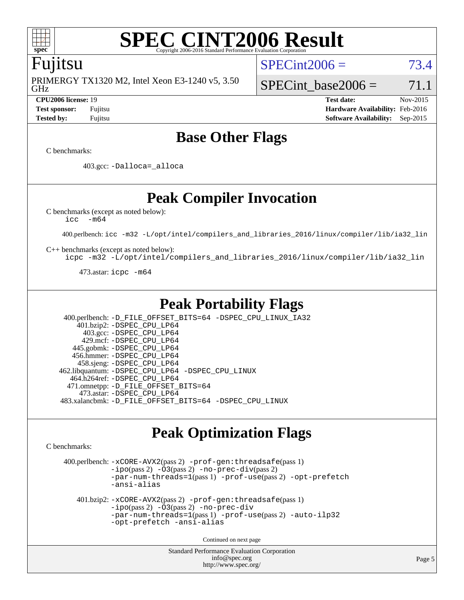

## Fujitsu

GHz PRIMERGY TX1320 M2, Intel Xeon E3-1240 v5, 3.50  $SPECint2006 = 73.4$  $SPECint2006 = 73.4$ 

SPECint base2006 =  $71.1$ 

**[CPU2006 license:](http://www.spec.org/auto/cpu2006/Docs/result-fields.html#CPU2006license)** 19 **[Test date:](http://www.spec.org/auto/cpu2006/Docs/result-fields.html#Testdate)** Nov-2015 **[Test sponsor:](http://www.spec.org/auto/cpu2006/Docs/result-fields.html#Testsponsor)** Fujitsu **[Hardware Availability:](http://www.spec.org/auto/cpu2006/Docs/result-fields.html#HardwareAvailability)** Feb-2016 **[Tested by:](http://www.spec.org/auto/cpu2006/Docs/result-fields.html#Testedby)** Fujitsu **[Software Availability:](http://www.spec.org/auto/cpu2006/Docs/result-fields.html#SoftwareAvailability)** Sep-2015

# **[Base Other Flags](http://www.spec.org/auto/cpu2006/Docs/result-fields.html#BaseOtherFlags)**

[C benchmarks](http://www.spec.org/auto/cpu2006/Docs/result-fields.html#Cbenchmarks):

403.gcc: [-Dalloca=\\_alloca](http://www.spec.org/cpu2006/results/res2016q1/cpu2006-20160111-38691.flags.html#b403.gcc_baseEXTRA_CFLAGS_Dalloca_be3056838c12de2578596ca5467af7f3)

**[Peak Compiler Invocation](http://www.spec.org/auto/cpu2006/Docs/result-fields.html#PeakCompilerInvocation)**

[C benchmarks \(except as noted below\)](http://www.spec.org/auto/cpu2006/Docs/result-fields.html#Cbenchmarksexceptasnotedbelow):

[icc -m64](http://www.spec.org/cpu2006/results/res2016q1/cpu2006-20160111-38691.flags.html#user_CCpeak_intel_icc_64bit_f346026e86af2a669e726fe758c88044)

400.perlbench: [icc -m32 -L/opt/intel/compilers\\_and\\_libraries\\_2016/linux/compiler/lib/ia32\\_lin](http://www.spec.org/cpu2006/results/res2016q1/cpu2006-20160111-38691.flags.html#user_peakCCLD400_perlbench_intel_icc_e10256ba5924b668798078a321b0cb3f)

[C++ benchmarks \(except as noted below\):](http://www.spec.org/auto/cpu2006/Docs/result-fields.html#CXXbenchmarksexceptasnotedbelow)

[icpc -m32 -L/opt/intel/compilers\\_and\\_libraries\\_2016/linux/compiler/lib/ia32\\_lin](http://www.spec.org/cpu2006/results/res2016q1/cpu2006-20160111-38691.flags.html#user_CXXpeak_intel_icpc_b4f50a394bdb4597aa5879c16bc3f5c5)

473.astar: [icpc -m64](http://www.spec.org/cpu2006/results/res2016q1/cpu2006-20160111-38691.flags.html#user_peakCXXLD473_astar_intel_icpc_64bit_fc66a5337ce925472a5c54ad6a0de310)

# **[Peak Portability Flags](http://www.spec.org/auto/cpu2006/Docs/result-fields.html#PeakPortabilityFlags)**

 400.perlbench: [-D\\_FILE\\_OFFSET\\_BITS=64](http://www.spec.org/cpu2006/results/res2016q1/cpu2006-20160111-38691.flags.html#user_peakPORTABILITY400_perlbench_file_offset_bits_64_438cf9856305ebd76870a2c6dc2689ab) [-DSPEC\\_CPU\\_LINUX\\_IA32](http://www.spec.org/cpu2006/results/res2016q1/cpu2006-20160111-38691.flags.html#b400.perlbench_peakCPORTABILITY_DSPEC_CPU_LINUX_IA32) 401.bzip2: [-DSPEC\\_CPU\\_LP64](http://www.spec.org/cpu2006/results/res2016q1/cpu2006-20160111-38691.flags.html#suite_peakPORTABILITY401_bzip2_DSPEC_CPU_LP64) 403.gcc: [-DSPEC\\_CPU\\_LP64](http://www.spec.org/cpu2006/results/res2016q1/cpu2006-20160111-38691.flags.html#suite_peakPORTABILITY403_gcc_DSPEC_CPU_LP64) 429.mcf: [-DSPEC\\_CPU\\_LP64](http://www.spec.org/cpu2006/results/res2016q1/cpu2006-20160111-38691.flags.html#suite_peakPORTABILITY429_mcf_DSPEC_CPU_LP64) 445.gobmk: [-DSPEC\\_CPU\\_LP64](http://www.spec.org/cpu2006/results/res2016q1/cpu2006-20160111-38691.flags.html#suite_peakPORTABILITY445_gobmk_DSPEC_CPU_LP64) 456.hmmer: [-DSPEC\\_CPU\\_LP64](http://www.spec.org/cpu2006/results/res2016q1/cpu2006-20160111-38691.flags.html#suite_peakPORTABILITY456_hmmer_DSPEC_CPU_LP64) 458.sjeng: [-DSPEC\\_CPU\\_LP64](http://www.spec.org/cpu2006/results/res2016q1/cpu2006-20160111-38691.flags.html#suite_peakPORTABILITY458_sjeng_DSPEC_CPU_LP64) 462.libquantum: [-DSPEC\\_CPU\\_LP64](http://www.spec.org/cpu2006/results/res2016q1/cpu2006-20160111-38691.flags.html#suite_peakPORTABILITY462_libquantum_DSPEC_CPU_LP64) [-DSPEC\\_CPU\\_LINUX](http://www.spec.org/cpu2006/results/res2016q1/cpu2006-20160111-38691.flags.html#b462.libquantum_peakCPORTABILITY_DSPEC_CPU_LINUX) 464.h264ref: [-DSPEC\\_CPU\\_LP64](http://www.spec.org/cpu2006/results/res2016q1/cpu2006-20160111-38691.flags.html#suite_peakPORTABILITY464_h264ref_DSPEC_CPU_LP64) 471.omnetpp: [-D\\_FILE\\_OFFSET\\_BITS=64](http://www.spec.org/cpu2006/results/res2016q1/cpu2006-20160111-38691.flags.html#user_peakPORTABILITY471_omnetpp_file_offset_bits_64_438cf9856305ebd76870a2c6dc2689ab) 473.astar: [-DSPEC\\_CPU\\_LP64](http://www.spec.org/cpu2006/results/res2016q1/cpu2006-20160111-38691.flags.html#suite_peakPORTABILITY473_astar_DSPEC_CPU_LP64) 483.xalancbmk: [-D\\_FILE\\_OFFSET\\_BITS=64](http://www.spec.org/cpu2006/results/res2016q1/cpu2006-20160111-38691.flags.html#user_peakPORTABILITY483_xalancbmk_file_offset_bits_64_438cf9856305ebd76870a2c6dc2689ab) [-DSPEC\\_CPU\\_LINUX](http://www.spec.org/cpu2006/results/res2016q1/cpu2006-20160111-38691.flags.html#b483.xalancbmk_peakCXXPORTABILITY_DSPEC_CPU_LINUX)

# **[Peak Optimization Flags](http://www.spec.org/auto/cpu2006/Docs/result-fields.html#PeakOptimizationFlags)**

[C benchmarks](http://www.spec.org/auto/cpu2006/Docs/result-fields.html#Cbenchmarks):

 400.perlbench: [-xCORE-AVX2](http://www.spec.org/cpu2006/results/res2016q1/cpu2006-20160111-38691.flags.html#user_peakPASS2_CFLAGSPASS2_LDCFLAGS400_perlbench_f-xAVX2_5f5fc0cbe2c9f62c816d3e45806c70d7)(pass 2) [-prof-gen:threadsafe](http://www.spec.org/cpu2006/results/res2016q1/cpu2006-20160111-38691.flags.html#user_peakPASS1_CFLAGSPASS1_LDCFLAGS400_perlbench_prof_gen_21a26eb79f378b550acd7bec9fe4467a)(pass 1)  $-i\text{po}(pass 2) -O3(pass 2)$  $-i\text{po}(pass 2) -O3(pass 2)$  $-i\text{po}(pass 2) -O3(pass 2)$  [-no-prec-div](http://www.spec.org/cpu2006/results/res2016q1/cpu2006-20160111-38691.flags.html#user_peakPASS2_CFLAGSPASS2_LDCFLAGS400_perlbench_f-no-prec-div)(pass 2) [-par-num-threads=1](http://www.spec.org/cpu2006/results/res2016q1/cpu2006-20160111-38691.flags.html#user_peakPASS1_CFLAGSPASS1_LDCFLAGS400_perlbench_par_num_threads_786a6ff141b4e9e90432e998842df6c2)(pass 1) [-prof-use](http://www.spec.org/cpu2006/results/res2016q1/cpu2006-20160111-38691.flags.html#user_peakPASS2_CFLAGSPASS2_LDCFLAGS400_perlbench_prof_use_bccf7792157ff70d64e32fe3e1250b55)(pass 2) [-opt-prefetch](http://www.spec.org/cpu2006/results/res2016q1/cpu2006-20160111-38691.flags.html#user_peakCOPTIMIZE400_perlbench_f-opt-prefetch) [-ansi-alias](http://www.spec.org/cpu2006/results/res2016q1/cpu2006-20160111-38691.flags.html#user_peakCOPTIMIZE400_perlbench_f-ansi-alias) 401.bzip2: [-xCORE-AVX2](http://www.spec.org/cpu2006/results/res2016q1/cpu2006-20160111-38691.flags.html#user_peakPASS2_CFLAGSPASS2_LDCFLAGS401_bzip2_f-xAVX2_5f5fc0cbe2c9f62c816d3e45806c70d7)(pass 2) [-prof-gen:threadsafe](http://www.spec.org/cpu2006/results/res2016q1/cpu2006-20160111-38691.flags.html#user_peakPASS1_CFLAGSPASS1_LDCFLAGS401_bzip2_prof_gen_21a26eb79f378b550acd7bec9fe4467a)(pass 1) [-ipo](http://www.spec.org/cpu2006/results/res2016q1/cpu2006-20160111-38691.flags.html#user_peakPASS2_CFLAGSPASS2_LDCFLAGS401_bzip2_f-ipo)(pass 2) [-O3](http://www.spec.org/cpu2006/results/res2016q1/cpu2006-20160111-38691.flags.html#user_peakPASS2_CFLAGSPASS2_LDCFLAGS401_bzip2_f-O3)(pass 2) [-no-prec-div](http://www.spec.org/cpu2006/results/res2016q1/cpu2006-20160111-38691.flags.html#user_peakCOPTIMIZEPASS2_CFLAGSPASS2_LDCFLAGS401_bzip2_f-no-prec-div) [-par-num-threads=1](http://www.spec.org/cpu2006/results/res2016q1/cpu2006-20160111-38691.flags.html#user_peakPASS1_CFLAGSPASS1_LDCFLAGS401_bzip2_par_num_threads_786a6ff141b4e9e90432e998842df6c2)(pass 1) [-prof-use](http://www.spec.org/cpu2006/results/res2016q1/cpu2006-20160111-38691.flags.html#user_peakPASS2_CFLAGSPASS2_LDCFLAGS401_bzip2_prof_use_bccf7792157ff70d64e32fe3e1250b55)(pass 2) [-auto-ilp32](http://www.spec.org/cpu2006/results/res2016q1/cpu2006-20160111-38691.flags.html#user_peakCOPTIMIZE401_bzip2_f-auto-ilp32) [-opt-prefetch](http://www.spec.org/cpu2006/results/res2016q1/cpu2006-20160111-38691.flags.html#user_peakCOPTIMIZE401_bzip2_f-opt-prefetch) [-ansi-alias](http://www.spec.org/cpu2006/results/res2016q1/cpu2006-20160111-38691.flags.html#user_peakCOPTIMIZE401_bzip2_f-ansi-alias)

Continued on next page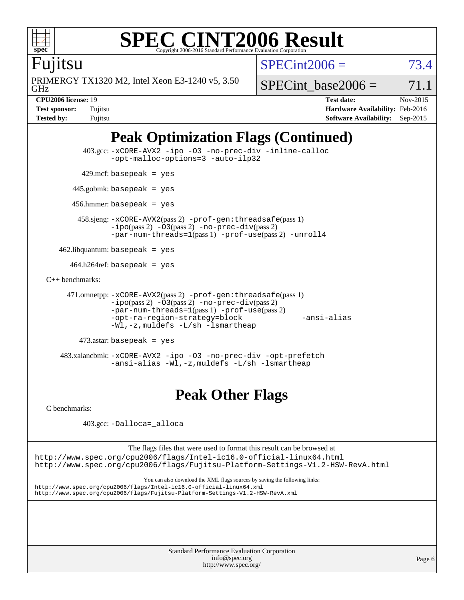

## Fujitsu

GHz PRIMERGY TX1320 M2, Intel Xeon E3-1240 v5, 3.50  $SPECint2006 = 73.4$  $SPECint2006 = 73.4$ 

SPECint base2006 =  $71.1$ 

**[CPU2006 license:](http://www.spec.org/auto/cpu2006/Docs/result-fields.html#CPU2006license)** 19 **[Test date:](http://www.spec.org/auto/cpu2006/Docs/result-fields.html#Testdate)** Nov-2015 **[Test sponsor:](http://www.spec.org/auto/cpu2006/Docs/result-fields.html#Testsponsor)** Fujitsu **[Hardware Availability:](http://www.spec.org/auto/cpu2006/Docs/result-fields.html#HardwareAvailability)** Feb-2016 **[Tested by:](http://www.spec.org/auto/cpu2006/Docs/result-fields.html#Testedby)** Fujitsu **[Software Availability:](http://www.spec.org/auto/cpu2006/Docs/result-fields.html#SoftwareAvailability)** Sep-2015

# **[Peak Optimization Flags \(Continued\)](http://www.spec.org/auto/cpu2006/Docs/result-fields.html#PeakOptimizationFlags)**

```
 403.gcc: -xCORE-AVX2 -ipo -O3 -no-prec-div -inline-calloc
                -opt-malloc-options=3 -auto-ilp32
        429.mcf: basepeak = yes
       445.gobmk: basepeak = yes
       456.hmmer: basepeak = yes
        458.sjeng: -xCORE-AVX2(pass 2) -prof-gen:threadsafe(pass 1)
                -ipo(pass 2) -O3(pass 2) -no-prec-div(pass 2)
                -par-num-threads=1(pass 1) -prof-use(pass 2) -unroll4
    462.libquantum: basepeak = yes
     464.h264ref: basepeak = yes
C++ benchmarks: 
     471.omnetpp: -xCORE-AVX2(pass 2) -prof-gen:threadsafe(pass 1)
                -ipo(pass 2) -O3(pass 2) -no-prec-div(pass 2)
                -par-num-threads=1(pass 1) -prof-use(pass 2)
                -opt-ra-region-strategy=block -ansi-alias
               -Wl,-z,muldefs -L/sh -lsmartheap
        473.astar: basepeak = yes
    483.xalancbmk: -xCORE-AVX2 -ipo -O3 -no-prec-div -opt-prefetch
                -ansi-alias -Wl,-z,muldefs -L/sh -lsmartheap
```
# **[Peak Other Flags](http://www.spec.org/auto/cpu2006/Docs/result-fields.html#PeakOtherFlags)**

[C benchmarks](http://www.spec.org/auto/cpu2006/Docs/result-fields.html#Cbenchmarks):

403.gcc: [-Dalloca=\\_alloca](http://www.spec.org/cpu2006/results/res2016q1/cpu2006-20160111-38691.flags.html#b403.gcc_peakEXTRA_CFLAGS_Dalloca_be3056838c12de2578596ca5467af7f3)

The flags files that were used to format this result can be browsed at <http://www.spec.org/cpu2006/flags/Intel-ic16.0-official-linux64.html> <http://www.spec.org/cpu2006/flags/Fujitsu-Platform-Settings-V1.2-HSW-RevA.html>

You can also download the XML flags sources by saving the following links: <http://www.spec.org/cpu2006/flags/Intel-ic16.0-official-linux64.xml> <http://www.spec.org/cpu2006/flags/Fujitsu-Platform-Settings-V1.2-HSW-RevA.xml>